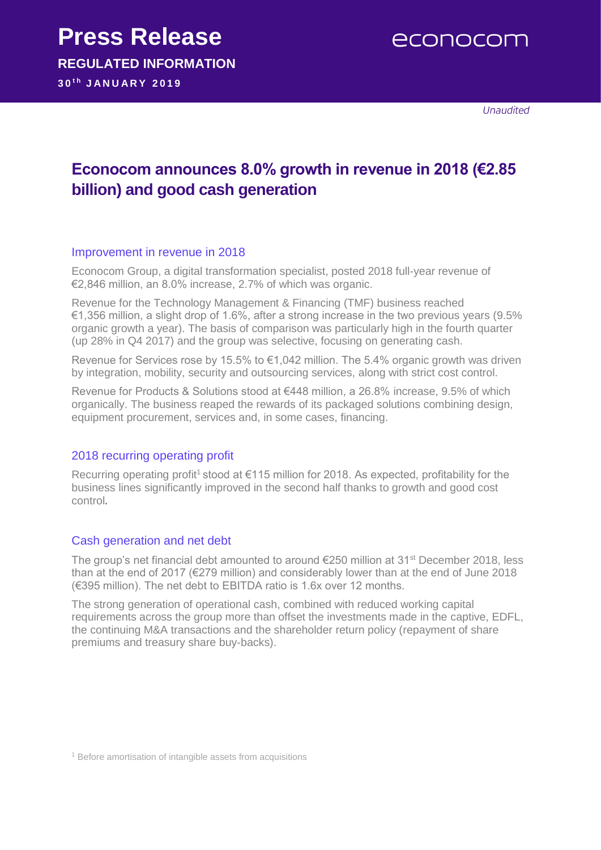econocom

Unaudited

## **Econocom announces 8.0% growth in revenue in 2018 (€2.85 billion) and good cash generation**

## Improvement in revenue in 2018

Econocom Group, a digital transformation specialist, posted 2018 full-year revenue of €2,846 million, an 8.0% increase, 2.7% of which was organic.

Revenue for the Technology Management & Financing (TMF) business reached €1,356 million, a slight drop of 1.6%, after a strong increase in the two previous years (9.5% organic growth a year). The basis of comparison was particularly high in the fourth quarter (up 28% in Q4 2017) and the group was selective, focusing on generating cash.

Revenue for Services rose by 15.5% to €1,042 million. The 5.4% organic growth was driven by integration, mobility, security and outsourcing services, along with strict cost control.

Revenue for Products & Solutions stood at €448 million, a 26.8% increase, 9.5% of which organically. The business reaped the rewards of its packaged solutions combining design, equipment procurement, services and, in some cases, financing.

## 2018 recurring operating profit

Recurring operating profit<sup>1</sup> stood at  $\epsilon$ 115 million for 2018. As expected, profitability for the business lines significantly improved in the second half thanks to growth and good cost control.

## Cash generation and net debt

The group's net financial debt amounted to around €250 million at 31<sup>st</sup> December 2018, less than at the end of 2017 (€279 million) and considerably lower than at the end of June 2018 (€395 million). The net debt to EBITDA ratio is 1.6x over 12 months.

The strong generation of operational cash, combined with reduced working capital requirements across the group more than offset the investments made in the captive, EDFL, the continuing M&A transactions and the shareholder return policy (repayment of share premiums and treasury share buy-backs).

<sup>1</sup> Before amortisation of intangible assets from acquisitions